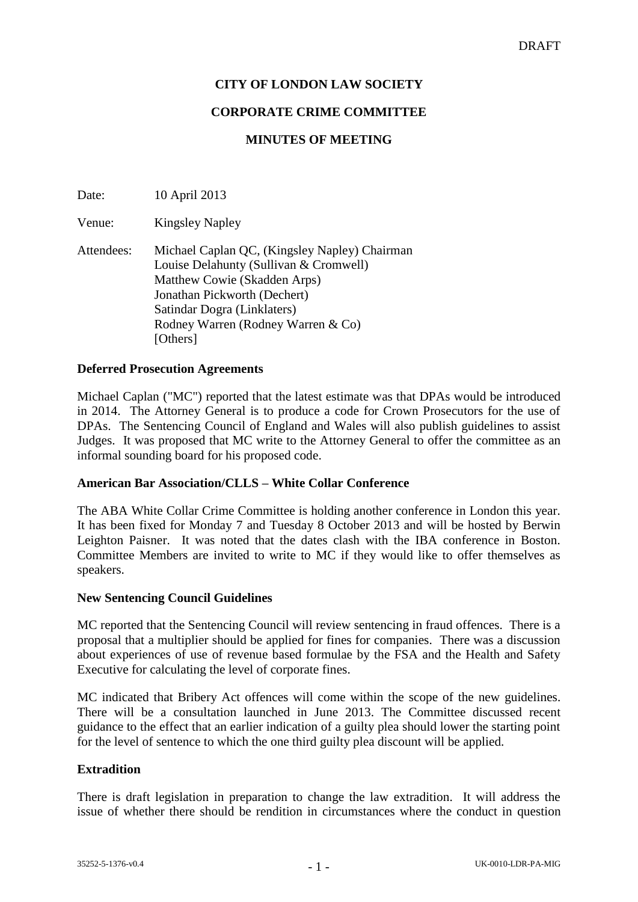# **CITY OF LONDON LAW SOCIETY**

### **CORPORATE CRIME COMMITTEE**

# **MINUTES OF MEETING**

Date: 10 April 2013

Venue: Kingsley Napley

Attendees: Michael Caplan QC, (Kingsley Napley) Chairman Louise Delahunty (Sullivan & Cromwell) Matthew Cowie (Skadden Arps) Jonathan Pickworth (Dechert) Satindar Dogra (Linklaters) Rodney Warren (Rodney Warren & Co) [Others]

### **Deferred Prosecution Agreements**

Michael Caplan ("MC") reported that the latest estimate was that DPAs would be introduced in 2014. The Attorney General is to produce a code for Crown Prosecutors for the use of DPAs. The Sentencing Council of England and Wales will also publish guidelines to assist Judges. It was proposed that MC write to the Attorney General to offer the committee as an informal sounding board for his proposed code.

#### **American Bar Association/CLLS – White Collar Conference**

The ABA White Collar Crime Committee is holding another conference in London this year. It has been fixed for Monday 7 and Tuesday 8 October 2013 and will be hosted by Berwin Leighton Paisner. It was noted that the dates clash with the IBA conference in Boston. Committee Members are invited to write to MC if they would like to offer themselves as speakers.

#### **New Sentencing Council Guidelines**

MC reported that the Sentencing Council will review sentencing in fraud offences. There is a proposal that a multiplier should be applied for fines for companies. There was a discussion about experiences of use of revenue based formulae by the FSA and the Health and Safety Executive for calculating the level of corporate fines.

MC indicated that Bribery Act offences will come within the scope of the new guidelines. There will be a consultation launched in June 2013. The Committee discussed recent guidance to the effect that an earlier indication of a guilty plea should lower the starting point for the level of sentence to which the one third guilty plea discount will be applied.

## **Extradition**

There is draft legislation in preparation to change the law extradition. It will address the issue of whether there should be rendition in circumstances where the conduct in question